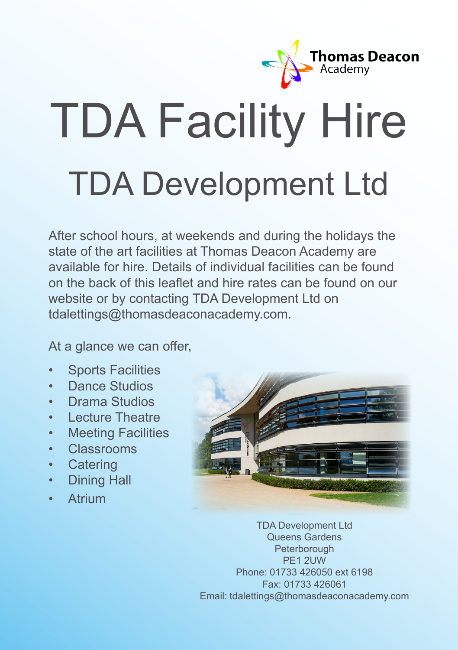

# TDA Facility Hire TDA Development Ltd

After school hours, at weekends and during the holidays the state of the art facilities at Thomas Deacon Academy are available for hire. Details of individual facilities can be found on the back of this leaflet and hire rates can be found on our website or by contacting TDA Development Ltd on tdalettings@thomasdeaconacademy.com.

At a glance we can offer.

- Sports Facilities
- Dance Studios
- Drama Studios
- Lecture Theatre
- Meeting Facilities
- Classrooms
- Catering
- Dining Hall
- Atrium



TDA Development Ltd Queens Gardens **Peterborough** PE1 2UW Phone: 01733 426050 ext 6198 Fax: 01733 426061 Email: tdalettings@thomasdeaconacademy.com